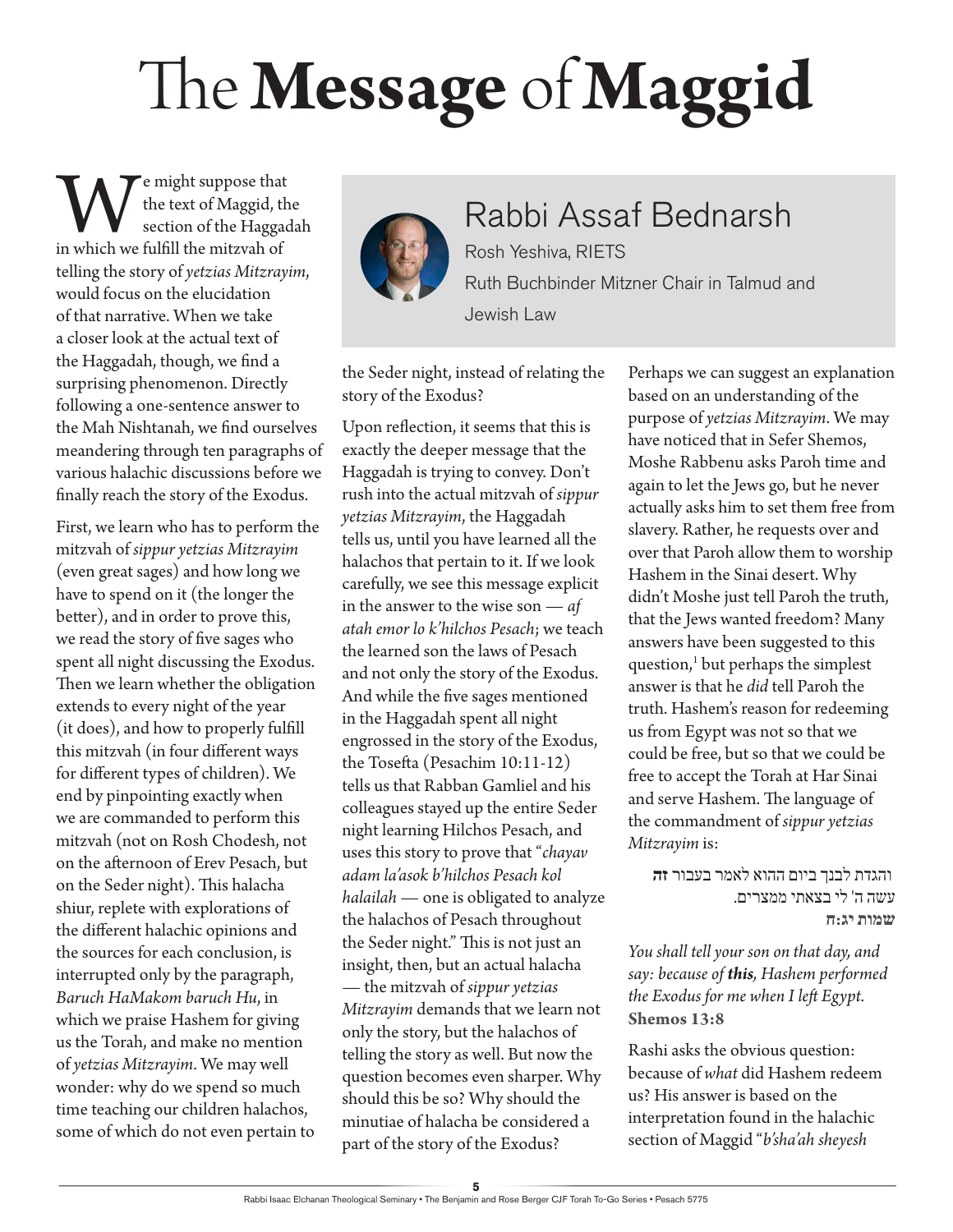## The **Message** of **Maggid**

**W**e might suppose that the text of Maggid, the section of the Haggad in which we fulfill the mitzvah of the text of Maggid, the section of the Haggadah telling the story of *yetzias Mitzrayim*, would focus on the elucidation of that narrative. When we take a closer look at the actual text of the Haggadah, though, we find a surprising phenomenon. Directly following a one-sentence answer to the Mah Nishtanah, we find ourselves meandering through ten paragraphs of various halachic discussions before we finally reach the story of the Exodus.

First, we learn who has to perform the mitzvah of *sippur yetzias Mitzrayim* (even great sages) and how long we have to spend on it (the longer the better), and in order to prove this, we read the story of five sages who spent all night discussing the Exodus. Then we learn whether the obligation extends to every night of the year (it does), and how to properly fulfill this mitzvah (in four different ways for different types of children). We end by pinpointing exactly when we are commanded to perform this mitzvah (not on Rosh Chodesh, not on the afternoon of Erev Pesach, but on the Seder night). This halacha shiur, replete with explorations of the different halachic opinions and the sources for each conclusion, is interrupted only by the paragraph, *Baruch HaMakom baruch Hu*, in which we praise Hashem for giving us the Torah, and make no mention of *yetzias Mitzrayim*. We may well wonder: why do we spend so much time teaching our children halachos, some of which do not even pertain to



## Rabbi Assaf Bednarsh Rosh Yeshiva, RIETS Ruth Buchbinder Mitzner Chair in Talmud and

the Seder night, instead of relating the story of the Exodus?

Jewish Law

Upon reflection, it seems that this is exactly the deeper message that the Haggadah is trying to convey. Don't rush into the actual mitzvah of *sippur yetzias Mitzrayim*, the Haggadah tells us, until you have learned all the halachos that pertain to it. If we look carefully, we see this message explicit in the answer to the wise son — *af atah emor lo k'hilchos Pesach*; we teach the learned son the laws of Pesach and not only the story of the Exodus. And while the five sages mentioned in the Haggadah spent all night engrossed in the story of the Exodus, the Tosefta (Pesachim 10:11-12) tells us that Rabban Gamliel and his colleagues stayed up the entire Seder night learning Hilchos Pesach, and uses this story to prove that "*chayav adam la'asok b'hilchos Pesach kol halailah* — one is obligated to analyze the halachos of Pesach throughout the Seder night." This is not just an insight, then, but an actual halacha — the mitzvah of *sippur yetzias Mitzrayim* demands that we learn not only the story, but the halachos of telling the story as well. But now the question becomes even sharper. Why should this be so? Why should the minutiae of halacha be considered a part of the story of the Exodus?

Perhaps we can suggest an explanation based on an understanding of the purpose of *yetzias Mitzrayim*. We may have noticed that in Sefer Shemos, Moshe Rabbenu asks Paroh time and again to let the Jews go, but he never actually asks him to set them free from slavery. Rather, he requests over and over that Paroh allow them to worship Hashem in the Sinai desert. Why didn't Moshe just tell Paroh the truth, that the Jews wanted freedom? Many answers have been suggested to this question,<sup>1</sup> but perhaps the simplest answer is that he *did* tell Paroh the truth. Hashem's reason for redeeming us from Egypt was not so that we could be free, but so that we could be free to accept the Torah at Har Sinai and serve Hashem. The language of the commandment of *sippur yetzias Mitzrayim* is:

והגדת לבנך ביום ההוא לאמר בעבור **זה** עשה ה' לי בצאתי ממצרים. **שמות יג:ח**

*You shall tell your son on that day, and say: because of this, Hashem performed the Exodus for me when I left Egypt.* **Shemos 13:8**

Rashi asks the obvious question: because of *what* did Hashem redeem us? His answer is based on the interpretation found in the halachic section of Maggid "*b'sha'ah sheyesh*